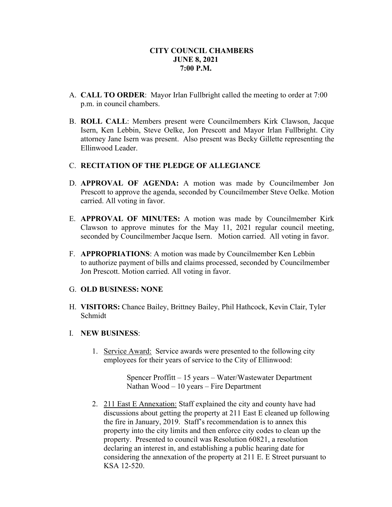- A. **CALL TO ORDER**: Mayor Irlan Fullbright called the meeting to order at 7:00 p.m. in council chambers.
- B. **ROLL CALL**: Members present were Councilmembers Kirk Clawson, Jacque Isern, Ken Lebbin, Steve Oelke, Jon Prescott and Mayor Irlan Fullbright. City attorney Jane Isern was present. Also present was Becky Gillette representing the Ellinwood Leader.

## C. **RECITATION OF THE PLEDGE OF ALLEGIANCE**

- D. **APPROVAL OF AGENDA:** A motion was made by Councilmember Jon Prescott to approve the agenda, seconded by Councilmember Steve Oelke. Motion carried. All voting in favor.
- E. **APPROVAL OF MINUTES:** A motion was made by Councilmember Kirk Clawson to approve minutes for the May 11, 2021 regular council meeting, seconded by Councilmember Jacque Isern. Motion carried. All voting in favor.
- F. **APPROPRIATIONS**: A motion was made by Councilmember Ken Lebbin to authorize payment of bills and claims processed, seconded by Councilmember Jon Prescott. Motion carried. All voting in favor.

## G. **OLD BUSINESS: NONE**

H. **VISITORS:** Chance Bailey, Brittney Bailey, Phil Hathcock, Kevin Clair, Tyler Schmidt

## I. **NEW BUSINESS**:

1. Service Award: Service awards were presented to the following city employees for their years of service to the City of Ellinwood:

> Spencer Proffitt – 15 years – Water/Wastewater Department Nathan Wood – 10 years – Fire Department

2. 211 East E Annexation: Staff explained the city and county have had discussions about getting the property at 211 East E cleaned up following the fire in January, 2019. Staff's recommendation is to annex this property into the city limits and then enforce city codes to clean up the property. Presented to council was Resolution 60821, a resolution declaring an interest in, and establishing a public hearing date for considering the annexation of the property at 211 E. E Street pursuant to KSA 12-520.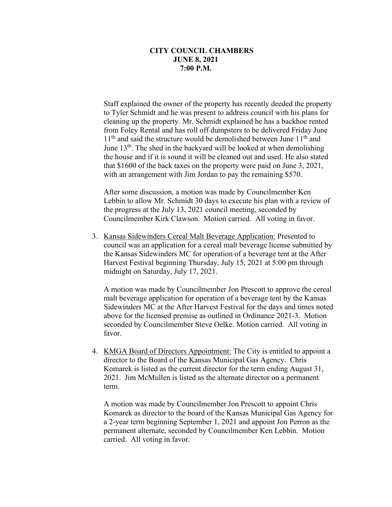Staff explained the owner of the property has recently deeded the property to Tyler Schmidt and he was present to address council with his plans for cleaning up the property. Mr. Schmidt explained he has a backhoe rented from Foley Rental and has roll off dumpsters to be delivered Friday June  $11<sup>th</sup>$  and said the structure would be demolished between June  $11<sup>th</sup>$  and June  $13<sup>th</sup>$ . The shed in the backyard will be looked at when demolishing the house and if it is sound it will be cleaned out and used. He also stated that \$1600 of the back taxes on the property were paid on June 3, 2021, with an arrangement with Jim Jordan to pay the remaining \$570.

After some discussion, a motion was made by Councilmember Ken Lebbin to allow Mr. Schmidt 30 days to execute his plan with a review of the progress at the July 13, 2021 council meeting, seconded by Councilmember Kirk Clawson. Motion carried. All voting in favor.

3. Kansas Sidewinders Cereal Malt Beverage Application: Presented to council was an application for a cereal malt beverage license submitted by the Kansas Sidewinders MC for operation of a beverage tent at the After Harvest Festival beginning Thursday, July 15, 2021 at 5:00 pm through midnight on Saturday, July 17, 2021.

A motion was made by Councilmember Jon Prescott to approve the cereal malt beverage application for operation of a beverage tent by the Kansas Sidewinders MC at the After Harvest Festival for the days and times noted above for the licensed premise as outlined in Ordinance 2021-3. Motion seconded by Councilmember Steve Oelke. Motion carried. All voting in favor.

4. KMGA Board of Directors Appointment: The City is entitled to appoint a director to the Board of the Kansas Municipal Gas Agency. Chris Komarek is listed as the current director for the term ending August 31, 2021. Jim McMullen is listed as the alternate director on a permanent term.

A motion was made by Councilmember Jon Prescott to appoint Chris Komarek as director to the board of the Kansas Municipal Gas Agency for a 2-year term beginning September 1, 2021 and appoint Jon Perron as the permanent alternate, seconded by Councilmember Ken Lebbin. Motion carried. All voting in favor.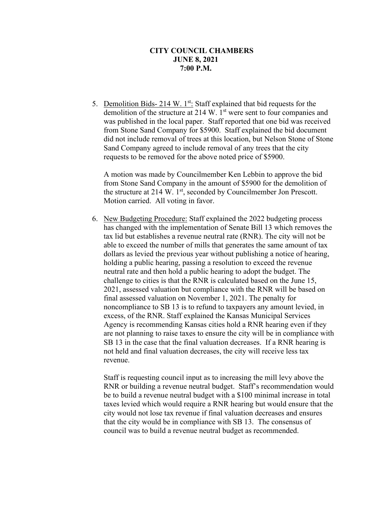5. Demolition Bids- 214 W.  $1^{st}$ : Staff explained that bid requests for the demolition of the structure at 214 W. 1<sup>st</sup> were sent to four companies and was published in the local paper. Staff reported that one bid was received from Stone Sand Company for \$5900. Staff explained the bid document did not include removal of trees at this location, but Nelson Stone of Stone Sand Company agreed to include removal of any trees that the city requests to be removed for the above noted price of \$5900.

A motion was made by Councilmember Ken Lebbin to approve the bid from Stone Sand Company in the amount of \$5900 for the demolition of the structure at 214 W. 1<sup>st</sup>, seconded by Councilmember Jon Prescott. Motion carried. All voting in favor.

6. New Budgeting Procedure: Staff explained the 2022 budgeting process has changed with the implementation of Senate Bill 13 which removes the tax lid but establishes a revenue neutral rate (RNR). The city will not be able to exceed the number of mills that generates the same amount of tax dollars as levied the previous year without publishing a notice of hearing, holding a public hearing, passing a resolution to exceed the revenue neutral rate and then hold a public hearing to adopt the budget. The challenge to cities is that the RNR is calculated based on the June 15, 2021, assessed valuation but compliance with the RNR will be based on final assessed valuation on November 1, 2021. The penalty for noncompliance to SB 13 is to refund to taxpayers any amount levied, in excess, of the RNR. Staff explained the Kansas Municipal Services Agency is recommending Kansas cities hold a RNR hearing even if they are not planning to raise taxes to ensure the city will be in compliance with SB 13 in the case that the final valuation decreases. If a RNR hearing is not held and final valuation decreases, the city will receive less tax revenue.

Staff is requesting council input as to increasing the mill levy above the RNR or building a revenue neutral budget. Staff's recommendation would be to build a revenue neutral budget with a \$100 minimal increase in total taxes levied which would require a RNR hearing but would ensure that the city would not lose tax revenue if final valuation decreases and ensures that the city would be in compliance with SB 13. The consensus of council was to build a revenue neutral budget as recommended.